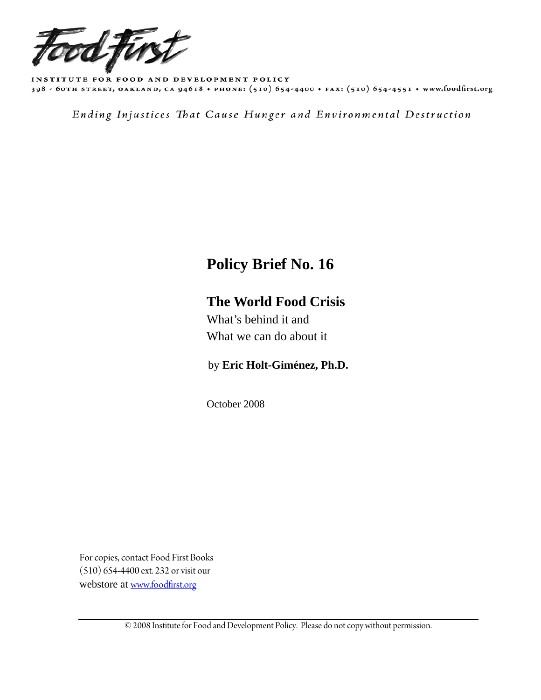

INSTITUTE FOR FOOD AND DEVELOPMENT POLICY 398 - 60TH STREET, OAKLAND, CA 94618 + PHONE: (510) 654-4400 + FAX: (510) 654-4551 + www.foodfirst.org

Ending Injustices That Cause Hunger and Environmental Destruction

# **Policy Brief No. 16**

# **The World Food Crisis**

What's behind it and What we can do about it

by **Eric Holt-Giménez, Ph.D.** 

October 2008

For copies, contact Food First Books (510) 654-4400 ext. 232 or visit our webstore at [www.foodfirst.org](http://www.foodfirst.org/)

© 2008 Institute for Food and Development Policy. Please do not copy without permission.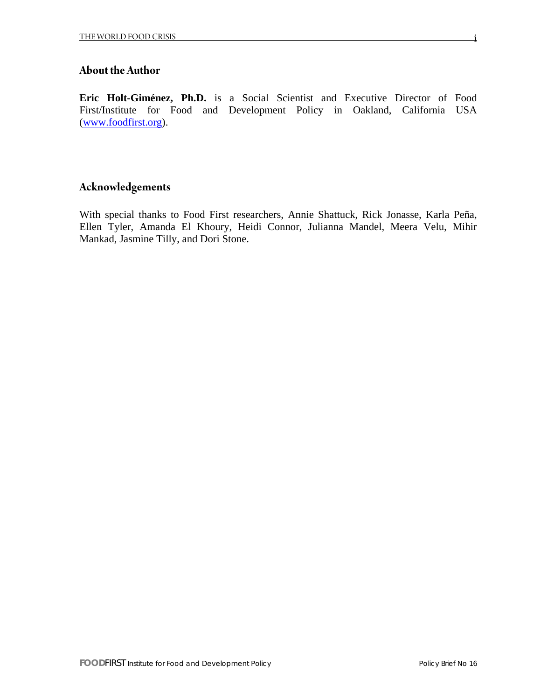### **About the Author**

**Eric Holt-Giménez, Ph.D.** is a Social Scientist and Executive Director of Food First/Institute for Food and Development Policy in Oakland, California USA ([www.foodfirst.org](http://www.foodfirst.org/)).

# **Acknowledgements**

With special thanks to Food First researchers, Annie Shattuck, Rick Jonasse, Karla Peña, Ellen Tyler, Amanda El Khoury, Heidi Connor, Julianna Mandel, Meera Velu, Mihir Mankad, Jasmine Tilly, and Dori Stone.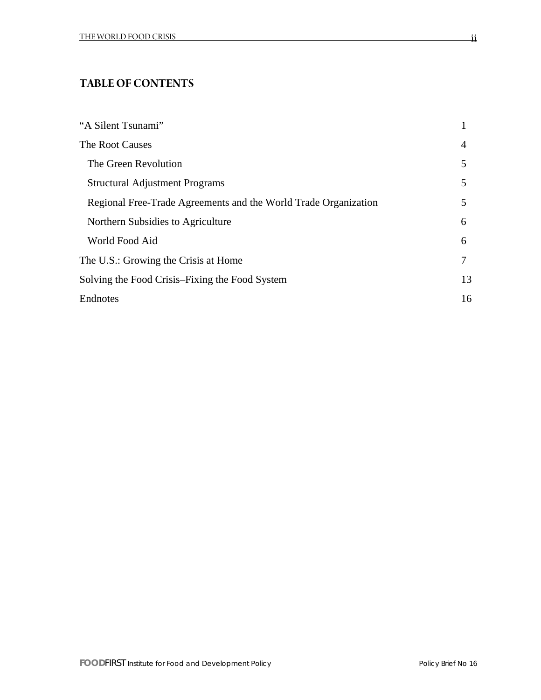## **TABLE OF CONTENTS**

| "A Silent Tsunami"                                              |    |
|-----------------------------------------------------------------|----|
| The Root Causes                                                 | 4  |
| The Green Revolution                                            | 5  |
| <b>Structural Adjustment Programs</b>                           | 5  |
| Regional Free-Trade Agreements and the World Trade Organization | 5  |
| Northern Subsidies to Agriculture                               | 6  |
| World Food Aid                                                  | 6  |
| The U.S.: Growing the Crisis at Home                            | 7  |
| Solving the Food Crisis–Fixing the Food System                  | 13 |
| Endnotes                                                        | 16 |

ii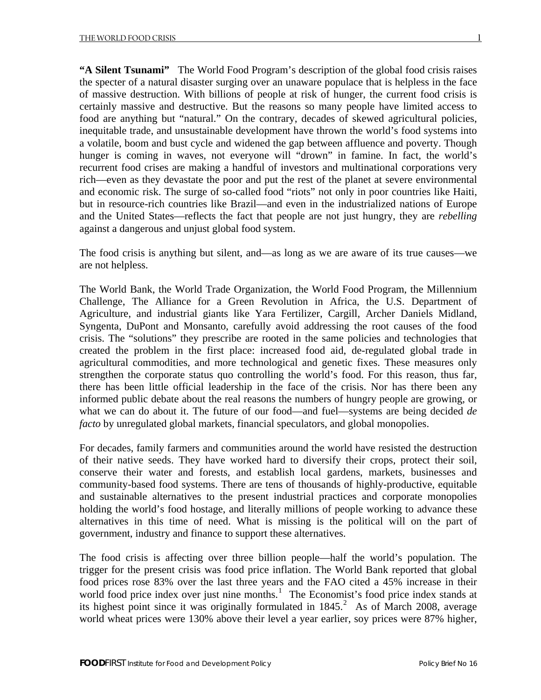**"A Silent Tsunami"** The World Food Program's description of the global food crisis raises the specter of a natural disaster surging over an unaware populace that is helpless in the face of massive destruction. With billions of people at risk of hunger, the current food crisis is certainly massive and destructive. But the reasons so many people have limited access to food are anything but "natural." On the contrary, decades of skewed agricultural policies, inequitable trade, and unsustainable development have thrown the world's food systems into a volatile, boom and bust cycle and widened the gap between affluence and poverty. Though hunger is coming in waves, not everyone will "drown" in famine. In fact, the world's recurrent food crises are making a handful of investors and multinational corporations very rich—even as they devastate the poor and put the rest of the planet at severe environmental and economic risk. The surge of so-called food "riots" not only in poor countries like Haiti, but in resource-rich countries like Brazil—and even in the industrialized nations of Europe and the United States—reflects the fact that people are not just hungry, they are *rebelling*  against a dangerous and unjust global food system.

The food crisis is anything but silent, and—as long as we are aware of its true causes—we are not helpless.

The World Bank, the World Trade Organization, the World Food Program, the Millennium Challenge, The Alliance for a Green Revolution in Africa, the U.S. Department of Agriculture, and industrial giants like Yara Fertilizer, Cargill, Archer Daniels Midland, Syngenta, DuPont and Monsanto, carefully avoid addressing the root causes of the food crisis. The "solutions" they prescribe are rooted in the same policies and technologies that created the problem in the first place: increased food aid, de-regulated global trade in agricultural commodities, and more technological and genetic fixes. These measures only strengthen the corporate status quo controlling the world's food. For this reason, thus far, there has been little official leadership in the face of the crisis. Nor has there been any informed public debate about the real reasons the numbers of hungry people are growing, or what we can do about it. The future of our food—and fuel—systems are being decided *de facto* by unregulated global markets, financial speculators, and global monopolies.

For decades, family farmers and communities around the world have resisted the destruction of their native seeds. They have worked hard to diversify their crops, protect their soil, conserve their water and forests, and establish local gardens, markets, businesses and community-based food systems. There are tens of thousands of highly-productive, equitable and sustainable alternatives to the present industrial practices and corporate monopolies holding the world's food hostage, and literally millions of people working to advance these alternatives in this time of need. What is missing is the political will on the part of government, industry and finance to support these alternatives.

The food crisis is affecting over three billion people—half the world's population. The trigger for the present crisis was food price inflation. The World Bank reported that global food prices rose 83% over the last three years and the FAO cited a 45% increase in their world food price index over just nine months.<sup>[1](#page-18-0)</sup> The Economist's food price index stands at its highest point since it was originally formulated in  $1845$ .<sup>[2](#page-18-1)</sup> As of March 2008, average world wheat prices were 130% above their level a year earlier, soy prices were 87% higher,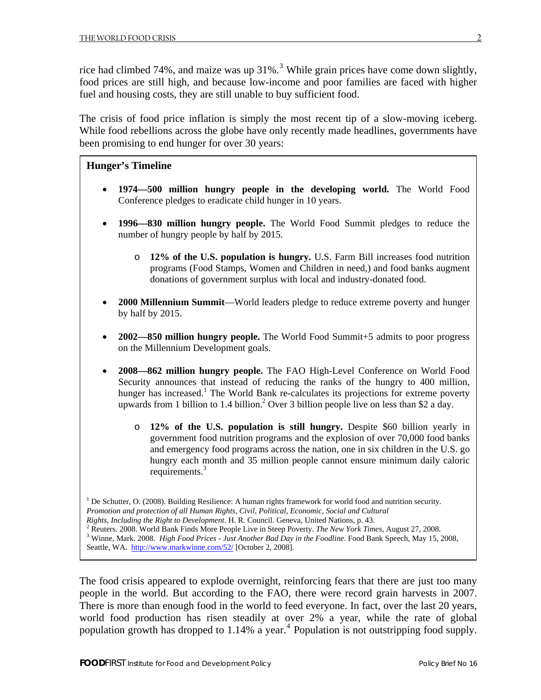rice had climbed 74%, and maize was up  $31\%$  $31\%$ .<sup>3</sup> While grain prices have come down slightly, food prices are still high, and because low-income and poor families are faced with higher fuel and housing costs, they are still unable to buy sufficient food.

The crisis of food price inflation is simply the most recent tip of a slow-moving iceberg. While food rebellions across the globe have only recently made headlines, governments have been promising to end hunger for over 30 years:

#### **Hunger's Timeline**

- **1974—500 million hungry people in the developing world.** The World Food Conference pledges to eradicate child hunger in 10 years.
- **1996—830 million hungry people.** The World Food Summit pledges to reduce the number of hungry people by half by 2015.
	- o **12% of the U.S. population is hungry.** U.S. Farm Bill increases food nutrition programs (Food Stamps, Women and Children in need,) and food banks augment donations of government surplus with local and industry-donated food.
- **2000 Millennium Summit**—World leaders pledge to reduce extreme poverty and hunger by half by 2015.
- **2002—850 million hungry people.** The World Food Summit+5 admits to poor progress on the Millennium Development goals.
- **2008—862 million hungry people.** The FAO High-Level Conference on World Food Security announces that instead of reducing the ranks of the hungry to 400 million, hunger has increased.<sup>1</sup> The World Bank re-calculates its projections for extreme poverty upwards from 1 billion to 1.4 billion.<sup>2</sup> Over 3 billion people live on less than \$2 a day.
	- o **12% of the U.S. population is still hungry.** Despite \$60 billion yearly in government food nutrition programs and the explosion of over 70,000 food banks and emergency food programs across the nation, one in six children in the U.S. go hungry each month and 35 million people cannot ensure minimum daily caloric requirements.<sup>3</sup>

<sup>1</sup> De Schutter, O. (2008). Building Resilience: A human rights framework for world food and nutrition security.

*Promotion and protection of all Human Rights, Civil, Political, Economic, Social and Cultural Rights, Including the Right to Development*. H. R. Council. Geneva, United Nations, p. 43. 2

 Winne, Mark. 2008. *High Food Prices - Just Another Bad Day in the Foodline*. Food Bank Speech, May 15, 2008, Seattle, WA. <http://www.markwinne.com/52/> [October 2, 2008].

The food crisis appeared to explode overnight, reinforcing fears that there are just too many people in the world. But according to the FAO, there were record grain harvests in 2007. There is more than enough food in the world to feed everyone. In fact, over the last 20 years, world food production has risen steadily at over 2% a year, while the rate of global population growth has dropped to 1.1[4](#page-18-1)% a year.<sup>4</sup> Population is not outstripping food supply.

<sup>&</sup>lt;sup>2</sup> Reuters. 2008. World Bank Finds More People Live in Steep Poverty. *The New York Times*, August 27, 2008.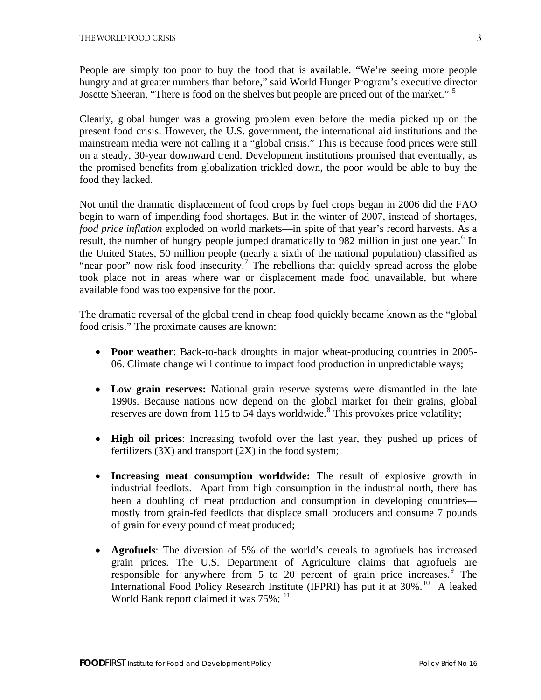People are simply too poor to buy the food that is available. "We're seeing more people hungry and at greater numbers than before," said World Hunger Program's executive director Josette Sheeran, "There is food on the shelves but people are priced out of the market."<sup>[5](#page-18-1)</sup>

Clearly, global hunger was a growing problem even before the media picked up on the present food crisis. However, the U.S. government, the international aid institutions and the mainstream media were not calling it a "global crisis." This is because food prices were still on a steady, 30-year downward trend. Development institutions promised that eventually, as the promised benefits from globalization trickled down, the poor would be able to buy the food they lacked.

Not until the dramatic displacement of food crops by fuel crops began in 2006 did the FAO begin to warn of impending food shortages. But in the winter of 2007, instead of shortages, *food price inflation* exploded on world markets—in spite of that year's record harvests. As a result, the number of hungry people jumped dramatically to 982 million in just one year.<sup>[6](#page-18-1)</sup> In the United States, 50 million people (nearly a sixth of the national population) classified as "near poor" now risk food insecurity.<sup>[7](#page-18-1)</sup> The rebellions that quickly spread across the globe took place not in areas where war or displacement made food unavailable, but where available food was too expensive for the poor.

The dramatic reversal of the global trend in cheap food quickly became known as the "global food crisis." The proximate causes are known:

- **Poor weather**: Back-to-back droughts in major wheat-producing countries in 2005-06. Climate change will continue to impact food production in unpredictable ways;
- **Low grain reserves:** National grain reserve systems were dismantled in the late 1990s. Because nations now depend on the global market for their grains, global reserves are down from 115 to 54 days worldwide.<sup>[8](#page-18-1)</sup> This provokes price volatility;
- **High oil prices**: Increasing twofold over the last year, they pushed up prices of fertilizers  $(3X)$  and transport  $(2X)$  in the food system;
- **Increasing meat consumption worldwide:** The result of explosive growth in industrial feedlots. Apart from high consumption in the industrial north, there has been a doubling of meat production and consumption in developing countries mostly from grain-fed feedlots that displace small producers and consume 7 pounds of grain for every pound of meat produced;
- **Agrofuels**: The diversion of 5% of the world's cereals to agrofuels has increased grain prices. The U.S. Department of Agriculture claims that agrofuels are responsible for anywhere from 5 to 20 percent of grain price increases. $9$  The International Food Policy Research Institute (IFPRI) has put it at 30%.<sup>[10](#page-18-1)</sup> A leaked World Bank report claimed it was  $75\%$ ;  $^{11}$  $^{11}$  $^{11}$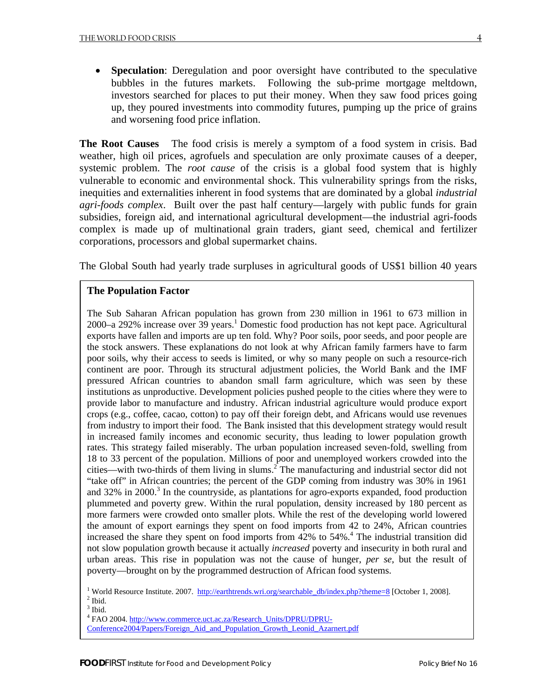• **Speculation**: Deregulation and poor oversight have contributed to the speculative bubbles in the futures markets. Following the sub-prime mortgage meltdown, investors searched for places to put their money. When they saw food prices going up, they poured investments into commodity futures, pumping up the price of grains and worsening food price inflation.

**The Root Causes** The food crisis is merely a symptom of a food system in crisis. Bad weather, high oil prices, agrofuels and speculation are only proximate causes of a deeper, systemic problem. The *root cause* of the crisis is a global food system that is highly vulnerable to economic and environmental shock. This vulnerability springs from the risks, inequities and externalities inherent in food systems that are dominated by a global *industrial agri-foods complex*. Built over the past half century—largely with public funds for grain subsidies, foreign aid, and international agricultural development—the industrial agri-foods complex is made up of multinational grain traders, giant seed, chemical and fertilizer corporations, processors and global supermarket chains.

The Global South had yearly trade surpluses in agricultural goods of US\$1 billion 40 years

#### **The Population Factor**

The Sub Saharan African population has grown from 230 million in 1961 to 673 million in 2000–a 292% increase over  $39$  years.<sup>1</sup> Domestic food production has not kept pace. Agricultural exports have fallen and imports are up ten fold. Why? Poor soils, poor seeds, and poor people are the stock answers. These explanations do not look at why African family farmers have to farm poor soils, why their access to seeds is limited, or why so many people on such a resource-rich continent are poor. Through its structural adjustment policies, the World Bank and the IMF pressured African countries to abandon small farm agriculture, which was seen by these institutions as unproductive. Development policies pushed people to the cities where they were to provide labor to manufacture and industry. African industrial agriculture would produce export crops (e.g., coffee, cacao, cotton) to pay off their foreign debt, and Africans would use revenues from industry to import their food. The Bank insisted that this development strategy would result in increased family incomes and economic security, thus leading to lower population growth rates. This strategy failed miserably. The urban population increased seven-fold, swelling from 18 to 33 percent of the population. Millions of poor and unemployed workers crowded into the cities—with two-thirds of them living in slums.<sup>2</sup> The manufacturing and industrial sector did not "take off" in African countries; the percent of the GDP coming from industry was 30% in 1961 and 32% in 2000.<sup>3</sup> In the countryside, as plantations for agro-exports expanded, food production plummeted and poverty grew. Within the rural population, density increased by 180 percent as more farmers were crowded onto smaller plots. While the rest of the developing world lowered the amount of export earnings they spent on food imports from 42 to 24%, African countries increased the share they spent on food imports from  $42\%$  to  $54\%$ .<sup>4</sup> The industrial transition did not slow population growth because it actually *increased* poverty and insecurity in both rural and urban areas. This rise in population was not the cause of hunger, *per se*, but the result of poverty—brought on by the programmed destruction of African food systems.

<sup>1</sup> World Resource Institute. 2007. [http://earthtrends.wri.org/searchable\\_db/index.php?theme=8](http://earthtrends.wri.org/searchable_db/index.php?theme=8) [October 1, 2008].  $<sup>2</sup>$  Ibid.</sup>

 $3$  Ibid.

<sup>4</sup> FAO 2004. [http://www.commerce.uct.ac.za/Research\\_Units/DPRU/DPRU-](http://www.commerce.uct.ac.za/Research_Units/DPRU/DPRU-Conference2004/Papers/Foreign_Aid_and_Population_Growth_Leonid_Azarnert.pdf)

[Conference2004/Papers/Foreign\\_Aid\\_and\\_Population\\_Growth\\_Leonid\\_Azarnert.pdf](http://www.commerce.uct.ac.za/Research_Units/DPRU/DPRU-Conference2004/Papers/Foreign_Aid_and_Population_Growth_Leonid_Azarnert.pdf)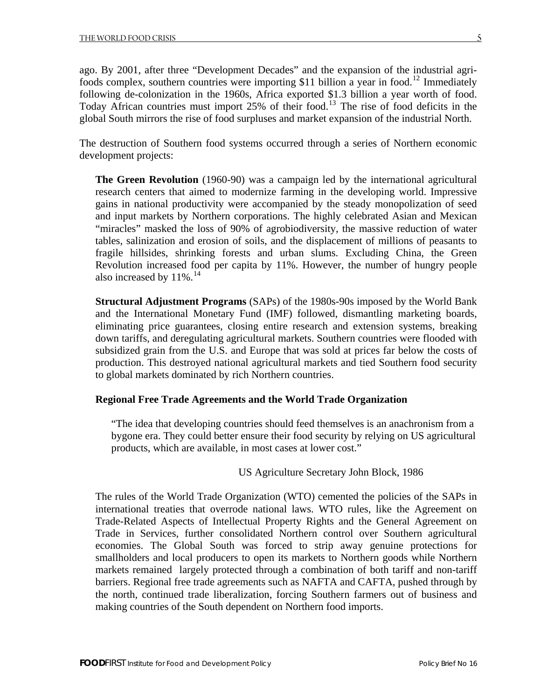ago. By 2001, after three "Development Decades" and the expansion of the industrial agri-foods complex, southern countries were importing \$11 billion a year in food.<sup>[12](#page-18-1)</sup> Immediately following de-colonization in the 1960s, Africa exported \$1.3 billion a year worth of food. Today African countries must import 25% of their food.[13](#page-18-1) The rise of food deficits in the global South mirrors the rise of food surpluses and market expansion of the industrial North.

The destruction of Southern food systems occurred through a series of Northern economic development projects:

**The Green Revolution** (1960-90) was a campaign led by the international agricultural research centers that aimed to modernize farming in the developing world. Impressive gains in national productivity were accompanied by the steady monopolization of seed and input markets by Northern corporations. The highly celebrated Asian and Mexican "miracles" masked the loss of 90% of agrobiodiversity, the massive reduction of water tables, salinization and erosion of soils, and the displacement of millions of peasants to fragile hillsides, shrinking forests and urban slums. Excluding China, the Green Revolution increased food per capita by 11%. However, the number of hungry people also increased by  $11\%$ .<sup>[14](#page-18-1)</sup>

**Structural Adjustment Programs** (SAPs) of the 1980s-90s imposed by the World Bank and the International Monetary Fund (IMF) followed, dismantling marketing boards, eliminating price guarantees, closing entire research and extension systems, breaking down tariffs, and deregulating agricultural markets. Southern countries were flooded with subsidized grain from the U.S. and Europe that was sold at prices far below the costs of production. This destroyed national agricultural markets and tied Southern food security to global markets dominated by rich Northern countries.

#### **Regional Free Trade Agreements and the World Trade Organization**

"The idea that developing countries should feed themselves is an anachronism from a bygone era. They could better ensure their food security by relying on US agricultural products, which are available, in most cases at lower cost."

#### US Agriculture Secretary John Block, 1986

The rules of the World Trade Organization (WTO) cemented the policies of the SAPs in international treaties that overrode national laws. WTO rules, like the Agreement on Trade-Related Aspects of Intellectual Property Rights and the General Agreement on Trade in Services, further consolidated Northern control over Southern agricultural economies. The Global South was forced to strip away genuine protections for smallholders and local producers to open its markets to Northern goods while Northern markets remained largely protected through a combination of both tariff and non-tariff barriers. Regional free trade agreements such as NAFTA and CAFTA, pushed through by the north, continued trade liberalization, forcing Southern farmers out of business and making countries of the South dependent on Northern food imports.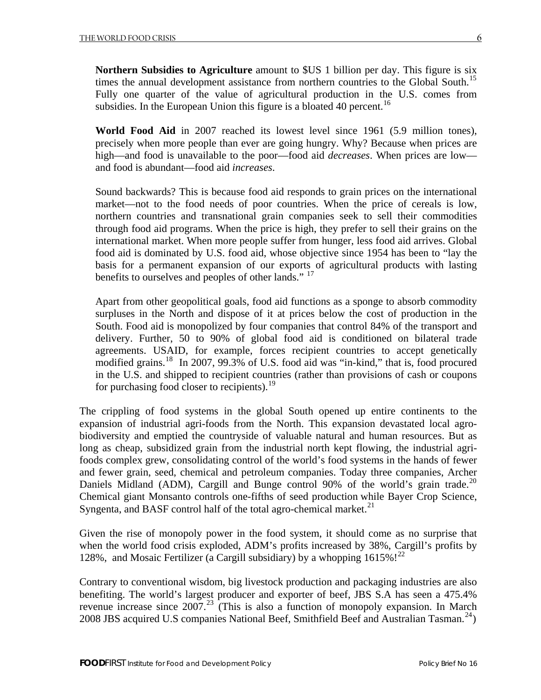Fully one quarter of the value of agricultural production in the U.S. comes from subsidies. In the European Union this figure is a bloated 40 percent.<sup>[16](#page-18-1)</sup>

**World Food Aid** in 2007 reached its lowest level since 1961 (5.9 million tones), precisely when more people than ever are going hungry. Why? Because when prices are high—and food is unavailable to the poor—food aid *decreases*. When prices are low and food is abundant—food aid *increases*.

Sound backwards? This is because food aid responds to grain prices on the international market—not to the food needs of poor countries. When the price of cereals is low, northern countries and transnational grain companies seek to sell their commodities through food aid programs. When the price is high, they prefer to sell their grains on the international market. When more people suffer from hunger, less food aid arrives. Global food aid is dominated by U.S. food aid, whose objective since 1954 has been to "lay the basis for a permanent expansion of our exports of agricultural products with lasting benefits to ourselves and peoples of other lands."<sup>[17](#page-18-1)</sup>

Apart from other geopolitical goals, food aid functions as a sponge to absorb commodity surpluses in the North and dispose of it at prices below the cost of production in the South. Food aid is monopolized by four companies that control 84% of the transport and delivery. Further, 50 to 90% of global food aid is conditioned on bilateral trade agreements. USAID, for example, forces recipient countries to accept genetically modified grains.[18](#page-18-1) In 2007, 99.3% of U.S. food aid was "in-kind," that is, food procured in the U.S. and shipped to recipient countries (rather than provisions of cash or coupons for purchasing food closer to recipients).<sup>[19](#page-18-1)</sup>

The crippling of food systems in the global South opened up entire continents to the expansion of industrial agri-foods from the North. This expansion devastated local agrobiodiversity and emptied the countryside of valuable natural and human resources. But as long as cheap, subsidized grain from the industrial north kept flowing, the industrial agrifoods complex grew, consolidating control of the world's food systems in the hands of fewer and fewer grain, seed, chemical and petroleum companies. Today three companies, Archer Daniels Midland (ADM), Cargill and Bunge control 90% of the world's grain trade.<sup>[20](#page-18-1)</sup> Chemical giant Monsanto controls one-fifths of seed production while Bayer Crop Science, Syngenta, and BASF control half of the total agro-chemical market.<sup>[21](#page-19-0)</sup>

Given the rise of monopoly power in the food system, it should come as no surprise that when the world food crisis exploded, ADM's profits increased by 38%, Cargill's profits by 128%, and Mosaic Fertilizer (a Cargill subsidiary) by a whopping  $1615\%$ <sup>[22](#page-19-0)</sup>

Contrary to conventional wisdom, big livestock production and packaging industries are also benefiting. The world's largest producer and exporter of beef, JBS S.A has seen a 475.4% revenue increase since  $2007<sup>23</sup>$  $2007<sup>23</sup>$  $2007<sup>23</sup>$  (This is also a function of monopoly expansion. In March 2008 JBS acquired U.S companies National Beef, Smithfield Beef and Australian Tasman.<sup>[24](#page-19-0)</sup>)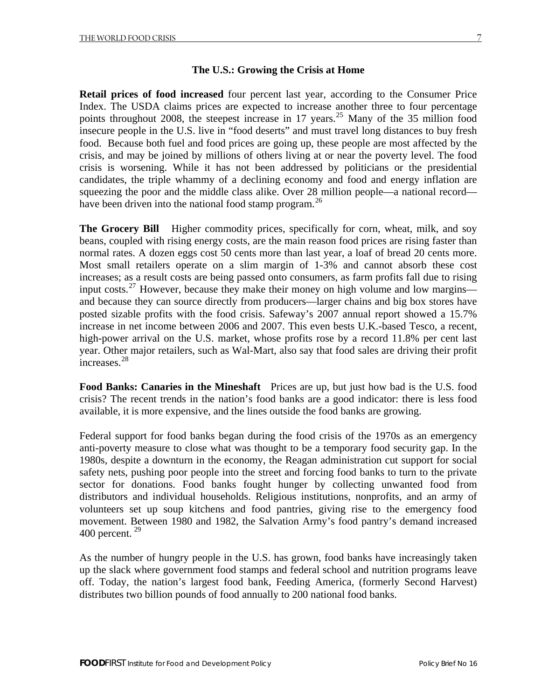#### **The U.S.: Growing the Crisis at Home**

**Retail prices of food increased** four percent last year, according to the Consumer Price Index. The USDA claims prices are expected to increase another three to four percentage points throughout 2008, the steepest increase in 17 years.<sup>[25](#page-19-0)</sup> Many of the 35 million food insecure people in the U.S. live in "food deserts" and must travel long distances to buy fresh food. Because both fuel and food prices are going up, these people are most affected by the crisis, and may be joined by millions of others living at or near the poverty level. The food crisis is worsening. While it has not been addressed by politicians or the presidential candidates, the triple whammy of a declining economy and food and energy inflation are squeezing the poor and the middle class alike. Over 28 million people—a national record— have been driven into the national food stamp program.<sup>[26](#page-19-0)</sup>

**The Grocery Bill** Higher commodity prices, specifically for corn, wheat, milk, and soy beans, coupled with rising energy costs, are the main reason food prices are rising faster than normal rates. A dozen eggs cost 50 cents more than last year, a loaf of bread 20 cents more. Most small retailers operate on a slim margin of 1-3% and cannot absorb these cost increases; as a result costs are being passed onto consumers, as farm profits fall due to rising input costs.[27](#page-19-0) However, because they make their money on high volume and low margins and because they can source directly from producers—larger chains and big box stores have posted sizable profits with the food crisis. Safeway's 2007 annual report showed a 15.7% increase in net income between 2006 and 2007. This even bests U.K.-based Tesco, a recent, high-power arrival on the U.S. market, whose profits rose by a record 11.8% per cent last year. Other major retailers, such as Wal-Mart, also say that food sales are driving their profit increases.<sup>[28](#page-19-0)</sup>

**Food Banks: Canaries in the Mineshaft** Prices are up, but just how bad is the U.S. food crisis? The recent trends in the nation's food banks are a good indicator: there is less food available, it is more expensive, and the lines outside the food banks are growing.

Federal support for food banks began during the food crisis of the 1970s as an emergency anti-poverty measure to close what was thought to be a temporary food security gap. In the 1980s, despite a downturn in the economy, the Reagan administration cut support for social safety nets, pushing poor people into the street and forcing food banks to turn to the private sector for donations. Food banks fought hunger by collecting unwanted food from distributors and individual households. Religious institutions, nonprofits, and an army of volunteers set up soup kitchens and food pantries, giving rise to the emergency food movement. Between 1980 and 1982, the Salvation Army's food pantry's demand increased 400 percent.  $29$ 

As the number of hungry people in the U.S. has grown, food banks have increasingly taken up the slack where government food stamps and federal school and nutrition programs leave off. Today, the nation's largest food bank, Feeding America, (formerly Second Harvest) distributes two billion pounds of food annually to 200 national food banks.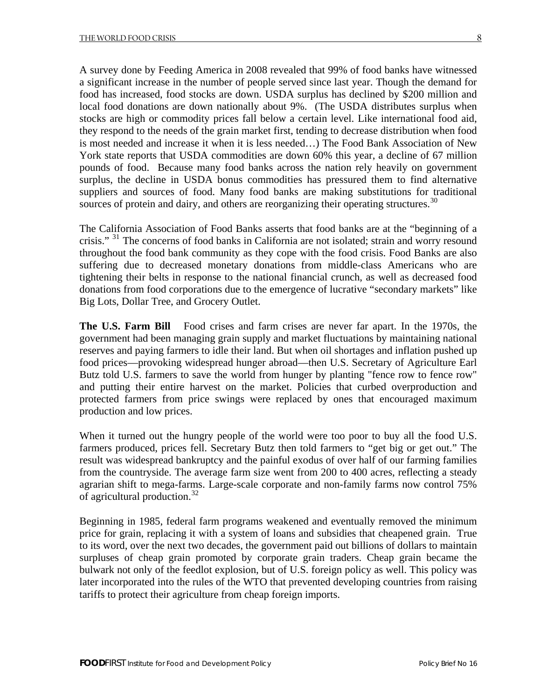A survey done by Feeding America in 2008 revealed that 99% of food banks have witnessed a significant increase in the number of people served since last year. Though the demand for food has increased, food stocks are down. USDA surplus has declined by \$200 million and local food donations are down nationally about 9%. (The USDA distributes surplus when stocks are high or commodity prices fall below a certain level. Like international food aid, they respond to the needs of the grain market first, tending to decrease distribution when food is most needed and increase it when it is less needed…) The Food Bank Association of New York state reports that USDA commodities are down 60% this year, a decline of 67 million pounds of food. Because many food banks across the nation rely heavily on government surplus, the decline in USDA bonus commodities has pressured them to find alternative suppliers and sources of food. Many food banks are making substitutions for traditional sources of protein and dairy, and others are reorganizing their operating structures.<sup>[30](#page-19-0)</sup>

The California Association of Food Banks asserts that food banks are at the "beginning of a crisis." <sup>[31](#page-19-0)</sup> The concerns of food banks in California are not isolated; strain and worry resound throughout the food bank community as they cope with the food crisis. Food Banks are also suffering due to decreased monetary donations from middle-class Americans who are tightening their belts in response to the national financial crunch, as well as decreased food donations from food corporations due to the emergence of lucrative "secondary markets" like Big Lots, Dollar Tree, and Grocery Outlet.

**The U.S. Farm Bill** Food crises and farm crises are never far apart. In the 1970s, the government had been managing grain supply and market fluctuations by maintaining national reserves and paying farmers to idle their land. But when oil shortages and inflation pushed up food prices—provoking widespread hunger abroad—then U.S. Secretary of Agriculture Earl Butz told U.S. farmers to save the world from hunger by planting "fence row to fence row" and putting their entire harvest on the market. Policies that curbed overproduction and protected farmers from price swings were replaced by ones that encouraged maximum production and low prices.

When it turned out the hungry people of the world were too poor to buy all the food U.S. farmers produced, prices fell. Secretary Butz then told farmers to "get big or get out." The result was widespread bankruptcy and the painful exodus of over half of our farming families from the countryside. The average farm size went from 200 to 400 acres, reflecting a steady agrarian shift to mega-farms. Large-scale corporate and non-family farms now control 75% of agricultural production.[32](#page-19-0)

Beginning in 1985, federal farm programs weakened and eventually removed the minimum price for grain, replacing it with a system of loans and subsidies that cheapened grain. True to its word, over the next two decades, the government paid out billions of dollars to maintain surpluses of cheap grain promoted by corporate grain traders. Cheap grain became the bulwark not only of the feedlot explosion, but of U.S. foreign policy as well. This policy was later incorporated into the rules of the WTO that prevented developing countries from raising tariffs to protect their agriculture from cheap foreign imports.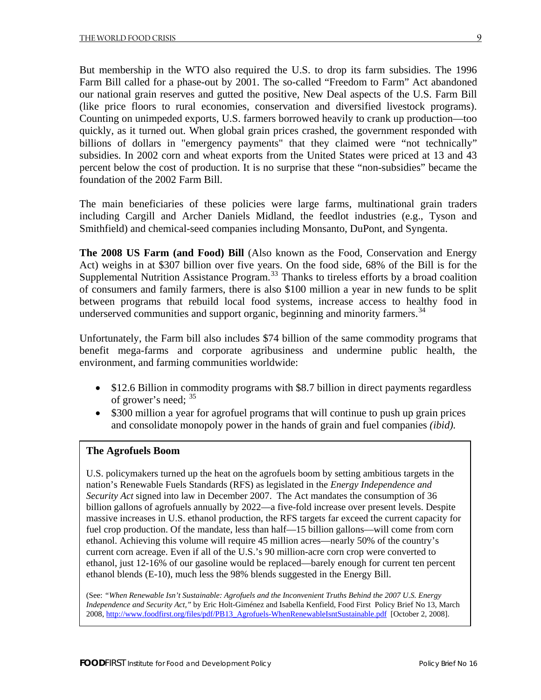But membership in the WTO also required the U.S. to drop its farm subsidies. The 1996 Farm Bill called for a phase-out by 2001. The so-called "Freedom to Farm" Act abandoned our national grain reserves and gutted the positive, New Deal aspects of the U.S. Farm Bill (like price floors to rural economies, conservation and diversified livestock programs). Counting on unimpeded exports, U.S. farmers borrowed heavily to crank up production—too quickly, as it turned out. When global grain prices crashed, the government responded with billions of dollars in "emergency payments" that they claimed were "not technically" subsidies. In 2002 corn and wheat exports from the United States were priced at 13 and 43 percent below the cost of production. It is no surprise that these "non-subsidies" became the foundation of the 2002 Farm Bill.

The main beneficiaries of these policies were large farms, multinational grain traders including Cargill and Archer Daniels Midland, the feedlot industries (e.g., Tyson and Smithfield) and chemical-seed companies including Monsanto, DuPont, and Syngenta.

**The 2008 US Farm (and Food) Bill** (Also known as the Food, Conservation and Energy Act) weighs in at \$307 billion over five years. On the food side, 68% of the Bill is for the Supplemental Nutrition Assistance Program.<sup>[33](#page-19-0)</sup> Thanks to tireless efforts by a broad coalition of consumers and family farmers, there is also \$100 million a year in new funds to be split between programs that rebuild local food systems, increase access to healthy food in underserved communities and support organic, beginning and minority farmers.<sup>[34](#page-19-0)</sup>

Unfortunately, the Farm bill also includes \$74 billion of the same commodity programs that benefit mega-farms and corporate agribusiness and undermine public health, the environment, and farming communities worldwide:

- \$12.6 Billion in commodity programs with \$8.7 billion in direct payments regardless of grower's need; [35](#page-19-0)
- \$300 million a year for agrofuel programs that will continue to push up grain prices and consolidate monopoly power in the hands of grain and fuel companies *(ibid).*

#### **The Agrofuels Boom**

U.S. policymakers turned up the heat on the agrofuels boom by setting ambitious targets in the nation's Renewable Fuels Standards (RFS) as legislated in the *Energy Independence and Security Act* signed into law in December 2007. The Act mandates the consumption of 36 billion gallons of agrofuels annually by 2022—a five-fold increase over present levels. Despite massive increases in U.S. ethanol production, the RFS targets far exceed the current capacity for fuel crop production. Of the mandate, less than half—15 billion gallons—will come from corn ethanol. Achieving this volume will require 45 million acres—nearly 50% of the country's current corn acreage. Even if all of the U.S.'s 90 million-acre corn crop were converted to ethanol, just 12-16% of our gasoline would be replaced—barely enough for current ten percent ethanol blends (E-10), much less the 98% blends suggested in the Energy Bill.

(See: *"When Renewable Isn't Sustainable: Agrofuels and the Inconvenient Truths Behind the 2007 U.S. Energy Independence and Security Act,"* by Eric Holt-Giménez and Isabella Kenfield, Food First Policy Brief No 13, March 2008, [http://www.foodfirst.org/files/pdf/PB13\\_Agrofuels-WhenRenewableIsntSustainable.pdf](http://www.foodfirst.org/files/pdf/PB13_Agrofuels-WhenRenewableIsntSustainable.pdf) [October 2, 2008].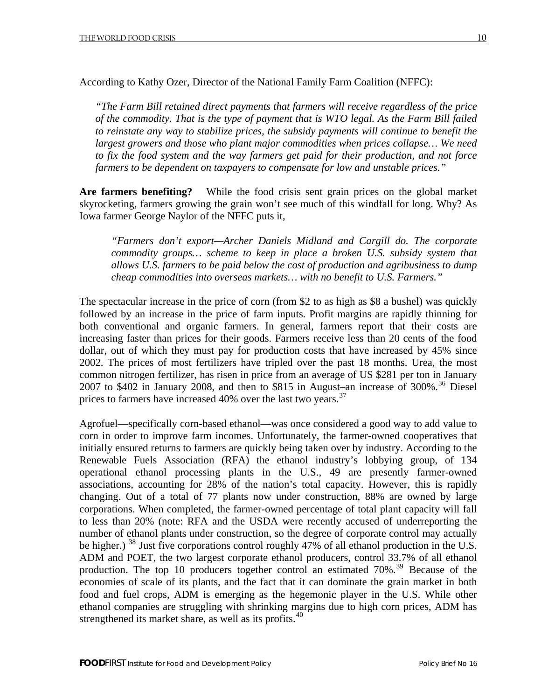According to Kathy Ozer, Director of the National Family Farm Coalition (NFFC):

*"The Farm Bill retained direct payments that farmers will receive regardless of the price of the commodity. That is the type of payment that is WTO legal. As the Farm Bill failed to reinstate any way to stabilize prices, the subsidy payments will continue to benefit the largest growers and those who plant major commodities when prices collapse… We need to fix the food system and the way farmers get paid for their production, and not force farmers to be dependent on taxpayers to compensate for low and unstable prices."* 

**Are farmers benefiting?** While the food crisis sent grain prices on the global market skyrocketing, farmers growing the grain won't see much of this windfall for long. Why? As Iowa farmer George Naylor of the NFFC puts it,

*"Farmers don't export—Archer Daniels Midland and Cargill do. The corporate commodity groups… scheme to keep in place a broken U.S. subsidy system that allows U.S. farmers to be paid below the cost of production and agribusiness to dump cheap commodities into overseas markets… with no benefit to U.S. Farmers."* 

The spectacular increase in the price of corn (from \$2 to as high as \$8 a bushel) was quickly followed by an increase in the price of farm inputs. Profit margins are rapidly thinning for both conventional and organic farmers. In general, farmers report that their costs are increasing faster than prices for their goods. Farmers receive less than 20 cents of the food dollar, out of which they must pay for production costs that have increased by 45% since 2002. The prices of most fertilizers have tripled over the past 18 months. Urea, the most common nitrogen fertilizer, has risen in price from an average of US \$281 per ton in January 2007 to \$402 in January 2008, and then to \$815 in August–an increase of  $300\%$ .<sup>[36](#page-19-0)</sup> Diesel prices to farmers have increased 40% over the last two years.<sup>[37](#page-20-0)</sup>

Agrofuel—specifically corn-based ethanol—was once considered a good way to add value to corn in order to improve farm incomes. Unfortunately, the farmer-owned cooperatives that initially ensured returns to farmers are quickly being taken over by industry. According to the Renewable Fuels Association (RFA) the ethanol industry's lobbying group, of 134 operational ethanol processing plants in the U.S., 49 are presently farmer-owned associations, accounting for 28% of the nation's total capacity. However, this is rapidly changing. Out of a total of 77 plants now under construction, 88% are owned by large corporations. When completed, the farmer-owned percentage of total plant capacity will fall to less than 20% (note: RFA and the USDA were recently accused of underreporting the number of ethanol plants under construction, so the degree of corporate control may actually be higher.) <sup>[38](#page-20-0)</sup> Just five corporations control roughly 47% of all ethanol production in the U.S. ADM and POET, the two largest corporate ethanol producers, control 33.7% of all ethanol production. The top 10 producers together control an estimated 70%.<sup>[39](#page-20-0)</sup> Because of the economies of scale of its plants, and the fact that it can dominate the grain market in both food and fuel crops, ADM is emerging as the hegemonic player in the U.S. While other ethanol companies are struggling with shrinking margins due to high corn prices, ADM has strengthened its market share, as well as its profits. $40$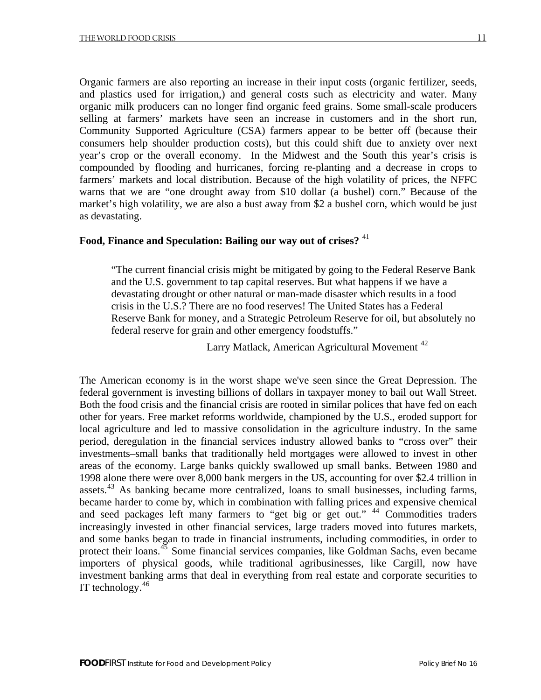Organic farmers are also reporting an increase in their input costs (organic fertilizer, seeds, and plastics used for irrigation,) and general costs such as electricity and water. Many organic milk producers can no longer find organic feed grains. Some small-scale producers selling at farmers' markets have seen an increase in customers and in the short run, Community Supported Agriculture (CSA) farmers appear to be better off (because their consumers help shoulder production costs), but this could shift due to anxiety over next year's crop or the overall economy. In the Midwest and the South this year's crisis is compounded by flooding and hurricanes, forcing re-planting and a decrease in crops to farmers' markets and local distribution. Because of the high volatility of prices, the NFFC warns that we are "one drought away from \$10 dollar (a bushel) corn." Because of the market's high volatility, we are also a bust away from \$2 a bushel corn, which would be just as devastating.

#### **Food, Finance and Speculation: Bailing our way out of crises?** [41](#page-20-0)

"The current financial crisis might be mitigated by going to the Federal Reserve Bank and the U.S. government to tap capital reserves. But what happens if we have a devastating drought or other natural or man-made disaster which results in a food crisis in the U.S.? There are no food reserves! The United States has a Federal Reserve Bank for money, and a Strategic Petroleum Reserve for oil, but absolutely no federal reserve for grain and other emergency foodstuffs."

Larry Matlack, American Agricultural Movement<sup>[42](#page-20-0)</sup>

The American economy is in the worst shape we've seen since the Great Depression. The federal government is investing billions of dollars in taxpayer money to bail out Wall Street. Both the food crisis and the financial crisis are rooted in similar polices that have fed on each other for years. Free market reforms worldwide, championed by the U.S., eroded support for local agriculture and led to massive consolidation in the agriculture industry. In the same period, deregulation in the financial services industry allowed banks to "cross over" their investments–small banks that traditionally held mortgages were allowed to invest in other areas of the economy. Large banks quickly swallowed up small banks. Between 1980 and 1998 alone there were over 8,000 bank mergers in the US, accounting for over \$2.4 trillion in assets.<sup>[43](#page-20-0)</sup> As banking became more centralized, loans to small businesses, including farms, became harder to come by, which in combination with falling prices and expensive chemical and seed packages left many farmers to "get big or get out." <sup>[44](#page-20-0)</sup> Commodities traders increasingly invested in other financial services, large traders moved into futures markets, and some banks began to trade in financial instruments, including commodities, in order to protect their loans.<sup>[45](#page-20-0)</sup> Some financial services companies, like Goldman Sachs, even became importers of physical goods, while traditional agribusinesses, like Cargill, now have investment banking arms that deal in everything from real estate and corporate securities to IT technology. $46$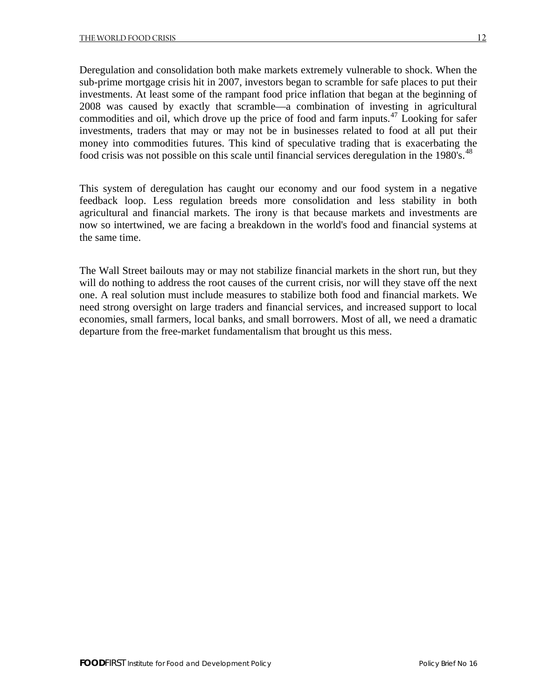Deregulation and consolidation both make markets extremely vulnerable to shock. When the sub-prime mortgage crisis hit in 2007, investors began to scramble for safe places to put their investments. At least some of the rampant food price inflation that began at the beginning of 2008 was caused by exactly that scramble—a combination of investing in agricultural commodities and oil, which drove up the price of food and farm inputs.<sup>[47](#page-20-0)</sup> Looking for safer investments, traders that may or may not be in businesses related to food at all put their money into commodities futures. This kind of speculative trading that is exacerbating the food crisis was not possible on this scale until financial services deregulation in the 1980's.<sup>[48](#page-20-0)</sup>

This system of deregulation has caught our economy and our food system in a negative feedback loop. Less regulation breeds more consolidation and less stability in both agricultural and financial markets. The irony is that because markets and investments are now so intertwined, we are facing a breakdown in the world's food and financial systems at the same time.

The Wall Street bailouts may or may not stabilize financial markets in the short run, but they will do nothing to address the root causes of the current crisis, nor will they stave off the next one. A real solution must include measures to stabilize both food and financial markets. We need strong oversight on large traders and financial services, and increased support to local economies, small farmers, local banks, and small borrowers. Most of all, we need a dramatic departure from the free-market fundamentalism that brought us this mess.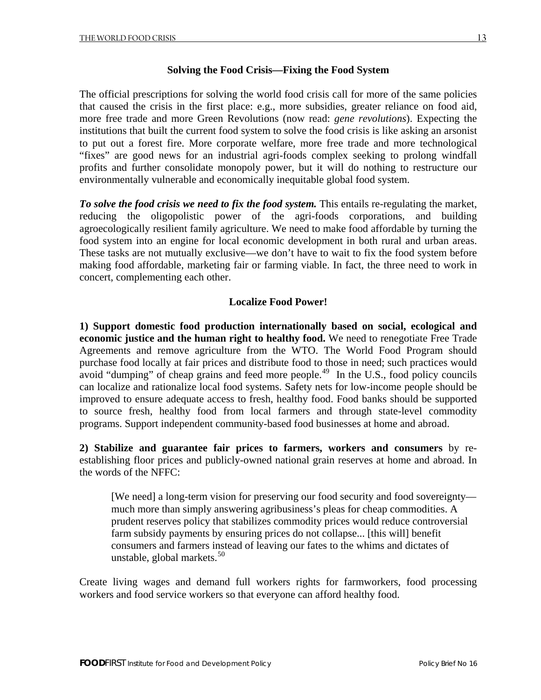#### **Solving the Food Crisis—Fixing the Food System**

The official prescriptions for solving the world food crisis call for more of the same policies that caused the crisis in the first place: e.g., more subsidies, greater reliance on food aid, more free trade and more Green Revolutions (now read: *gene revolutions*). Expecting the institutions that built the current food system to solve the food crisis is like asking an arsonist to put out a forest fire. More corporate welfare, more free trade and more technological "fixes" are good news for an industrial agri-foods complex seeking to prolong windfall profits and further consolidate monopoly power, but it will do nothing to restructure our environmentally vulnerable and economically inequitable global food system.

*To solve the food crisis we need to fix the food system.* This entails re-regulating the market, reducing the oligopolistic power of the agri-foods corporations, and building agroecologically resilient family agriculture. We need to make food affordable by turning the food system into an engine for local economic development in both rural and urban areas. These tasks are not mutually exclusive—we don't have to wait to fix the food system before making food affordable, marketing fair or farming viable. In fact, the three need to work in concert, complementing each other.

#### **Localize Food Power!**

**1) Support domestic food production internationally based on social, ecological and economic justice and the human right to healthy food.** We need to renegotiate Free Trade Agreements and remove agriculture from the WTO. The World Food Program should purchase food locally at fair prices and distribute food to those in need; such practices would avoid "dumping" of cheap grains and feed more people.<sup>[49](#page-20-0)</sup> In the U.S., food policy councils can localize and rationalize local food systems. Safety nets for low-income people should be improved to ensure adequate access to fresh, healthy food. Food banks should be supported to source fresh, healthy food from local farmers and through state-level commodity programs. Support independent community-based food businesses at home and abroad.

**2) Stabilize and guarantee fair prices to farmers, workers and consumers** by reestablishing floor prices and publicly-owned national grain reserves at home and abroad. In the words of the NFFC:

[We need] a long-term vision for preserving our food security and food sovereignty much more than simply answering agribusiness's pleas for cheap commodities. A prudent reserves policy that stabilizes commodity prices would reduce controversial farm subsidy payments by ensuring prices do not collapse... [this will] benefit consumers and farmers instead of leaving our fates to the whims and dictates of unstable, global markets. $50$ 

Create living wages and demand full workers rights for farmworkers, food processing workers and food service workers so that everyone can afford healthy food.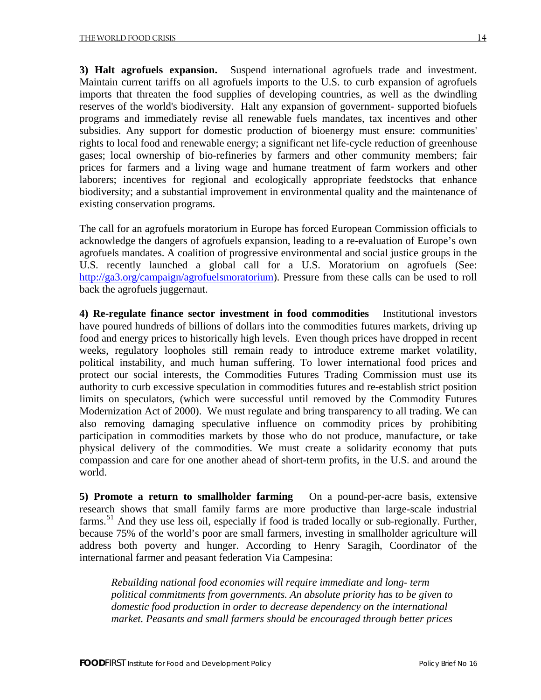**3) Halt agrofuels expansion.** Suspend international agrofuels trade and investment. Maintain current tariffs on all agrofuels imports to the U.S. to curb expansion of agrofuels imports that threaten the food supplies of developing countries, as well as the dwindling reserves of the world's biodiversity. Halt any expansion of government- supported biofuels programs and immediately revise all renewable fuels mandates, tax incentives and other subsidies. Any support for domestic production of bioenergy must ensure: communities' rights to local food and renewable energy; a significant net life-cycle reduction of greenhouse gases; local ownership of bio-refineries by farmers and other community members; fair prices for farmers and a living wage and humane treatment of farm workers and other laborers; incentives for regional and ecologically appropriate feedstocks that enhance biodiversity; and a substantial improvement in environmental quality and the maintenance of existing conservation programs.

The call for an agrofuels moratorium in Europe has forced European Commission officials to acknowledge the dangers of agrofuels expansion, leading to a re-evaluation of Europe's own agrofuels mandates. A coalition of progressive environmental and social justice groups in the U.S. recently launched a global call for a U.S. Moratorium on agrofuels (See: [http://ga3.org/campaign/agrofuelsmoratorium\)](http://ga3.org/campaign/agrofuelsmoratorium). Pressure from these calls can be used to roll back the agrofuels juggernaut.

**4) Re-regulate finance sector investment in food commodities** Institutional investors have poured hundreds of billions of dollars into the commodities futures markets, driving up food and energy prices to historically high levels. Even though prices have dropped in recent weeks, regulatory loopholes still remain ready to introduce extreme market volatility, political instability, and much human suffering. To lower international food prices and protect our social interests, the Commodities Futures Trading Commission must use its authority to curb excessive speculation in commodities futures and re-establish strict position limits on speculators, (which were successful until removed by the Commodity Futures Modernization Act of 2000). We must regulate and bring transparency to all trading. We can also removing damaging speculative influence on commodity prices by prohibiting participation in commodities markets by those who do not produce, manufacture, or take physical delivery of the commodities. We must create a solidarity economy that puts compassion and care for one another ahead of short-term profits, in the U.S. and around the world.

**5) Promote a return to smallholder farming** On a pound-per-acre basis, extensive research shows that small family farms are more productive than large-scale industrial farms.<sup>[51](#page-20-0)</sup> And they use less oil, especially if food is traded locally or sub-regionally. Further, because 75% of the world's poor are small farmers, investing in smallholder agriculture will address both poverty and hunger. According to Henry Saragih, Coordinator of the international farmer and peasant federation Via Campesina:

*Rebuilding national food economies will require immediate and long- term political commitments from governments. An absolute priority has to be given to domestic food production in order to decrease dependency on the international market. Peasants and small farmers should be encouraged through better prices*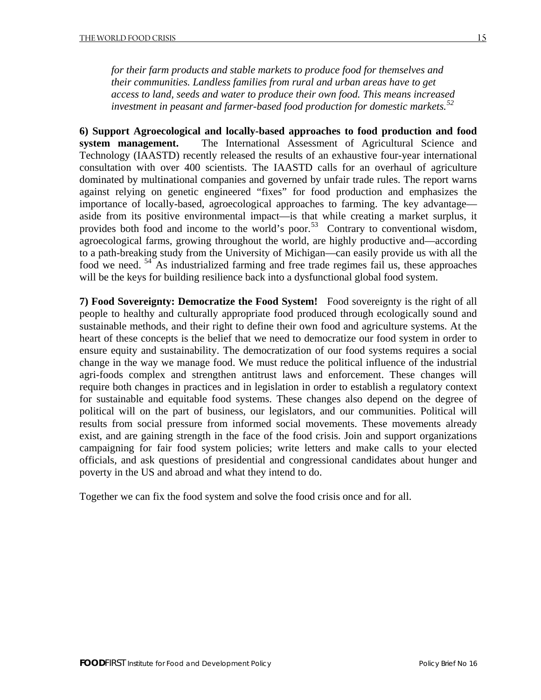*for their farm products and stable markets to produce food for themselves and their communities. Landless families from rural and urban areas have to get access to land, seeds and water to produce their own food. This means increased investment in peasant and farmer-based food production for domestic markets.[52](#page-21-0)*

**6) Support Agroecological and locally-based approaches to food production and food system management.** The International Assessment of Agricultural Science and Technology (IAASTD) recently released the results of an exhaustive four-year international consultation with over 400 scientists. The IAASTD calls for an overhaul of agriculture dominated by multinational companies and governed by unfair trade rules. The report warns against relying on genetic engineered "fixes" for food production and emphasizes the importance of locally-based, agroecological approaches to farming. The key advantage aside from its positive environmental impact—is that while creating a market surplus, it provides both food and income to the world's poor.<sup>[53](#page-21-0)</sup> Contrary to conventional wisdom, agroecological farms, growing throughout the world, are highly productive and—according to a path-breaking study from the University of Michigan—can easily provide us with all the food we need. <sup>[54](#page-21-0)</sup> As industrialized farming and free trade regimes fail us, these approaches will be the keys for building resilience back into a dysfunctional global food system.

**7) Food Sovereignty: Democratize the Food System!** Food sovereignty is the right of all people to healthy and culturally appropriate food produced through ecologically sound and sustainable methods, and their right to define their own food and agriculture systems. At the heart of these concepts is the belief that we need to democratize our food system in order to ensure equity and sustainability. The democratization of our food systems requires a social change in the way we manage food. We must reduce the political influence of the industrial agri-foods complex and strengthen antitrust laws and enforcement. These changes will require both changes in practices and in legislation in order to establish a regulatory context for sustainable and equitable food systems. These changes also depend on the degree of political will on the part of business, our legislators, and our communities. Political will results from social pressure from informed social movements. These movements already exist, and are gaining strength in the face of the food crisis. Join and support organizations campaigning for fair food system policies; write letters and make calls to your elected officials, and ask questions of presidential and congressional candidates about hunger and poverty in the US and abroad and what they intend to do.

Together we can fix the food system and solve the food crisis once and for all.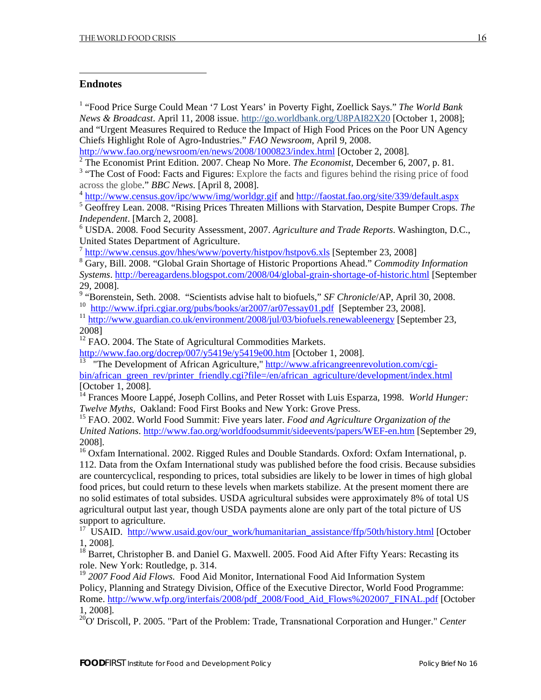#### <span id="page-18-0"></span>**Endnotes**

<span id="page-18-1"></span>1

<sup>1</sup> "Food Price Surge Could Mean '7 Lost Years' in Poverty Fight, Zoellick Says." The World Bank *News & Broadcast*. April 11, 2008 issue.<http://go.worldbank.org/U8PAI82X20>[October 1, 2008]; and "Urgent Measures Required to Reduce the Impact of High Food Prices on the Poor UN Agency Chiefs Highlight Role of Agro-Industries." *FAO Newsroom*, April 9, 2008.

<http://www.fao.org/newsroom/en/news/2008/1000823/index.html> [October 2, 2008].

2 The Economist Print Edition. 2007. Cheap No More. *The Economist,* December 6, 2007, p. 81.

<sup>3</sup> "The Cost of Food: Facts and Figures: Explore the facts and figures behind the rising price of food across the globe." *BBC News*. [April 8, 2008].

<sup>4</sup> <http://www.census.gov/ipc/www/img/worldgr.gif> and http://faostat.fao.org/site/339/default.aspx

 Geoffrey Lean. 2008. "Rising Prices Threaten Millions with Starvation, Despite Bumper Crops. *The Independent*. [March 2, 2008].

6 USDA. 2008. Food Security Assessment, 2007. *Agriculture and Trade Reports*. Washington, D.C., United States Department of Agriculture.

<sup>7</sup> <http://www.census.gov/hhes/www/poverty/histpov/hstpov6.xls> [September 23, 2008]

8 Gary, Bill. 2008. "Global Grain Shortage of Historic Proportions Ahead." *Commodity Information Systems*.<http://bereagardens.blogspot.com/2008/04/global-grain-shortage-of-historic.html> [September 29, 2008].

9 "Borenstein, Seth. 2008. "Scientists advise halt to biofuels," *SF Chronicle*/AP, April 30, 2008. <sup>10</sup> <http://www.ifpri.cgiar.org/pubs/books/ar2007/ar07essay01.pdf> [September 23, 2008].

<sup>11</sup> <http://www.guardian.co.uk/environment/2008/jul/03/biofuels.renewableenergy>[September 23, 2008]

<sup>12</sup> FAO. 2004. The State of Agricultural Commodities Markets.

<http://www.fao.org/docrep/007/y5419e/y5419e00.htm>[October 1, 2008].

<sup>13</sup> "The Development of African Agriculture," [http://www.africangreenrevolution.com/cgi](http://www.africangreenrevolution.com/cgi-bin/african_green_rev/printer_friendly.cgi?file=/en/african_agriculture/development/index.html)[bin/african\\_green\\_rev/printer\\_friendly.cgi?file=/en/african\\_agriculture/development/index.html](http://www.africangreenrevolution.com/cgi-bin/african_green_rev/printer_friendly.cgi?file=/en/african_agriculture/development/index.html) [October 1, 2008].

<sup>14</sup> Frances Moore Lappé, Joseph Collins, and Peter Rosset with Luis Esparza, 1998. *World Hunger: Twelve Myths*, Oakland: Food First Books and New York: Grove Press.

15 FAO. 2002. World Food Summit: Five years later. *Food and Agriculture Organization of the United Nations*.<http://www.fao.org/worldfoodsummit/sideevents/papers/WEF-en.htm> [September 29, 2008].

<sup>16</sup> Oxfam International. 2002. Rigged Rules and Double Standards. Oxford: Oxfam International, p. 112. Data from the Oxfam International study was published before the food crisis. Because subsidies are countercyclical, responding to prices, total subsidies are likely to be lower in times of high global food prices, but could return to these levels when markets stabilize. At the present moment there are no solid estimates of total subsides. USDA agricultural subsides were approximately 8% of total US agricultural output last year, though USDA payments alone are only part of the total picture of US support to agriculture.

<sup>17</sup> USAID. [http://www.usaid.gov/our\\_work/humanitarian\\_assistance/ffp/50th/history.html](http://www.usaid.gov/our_work/humanitarian_assistance/ffp/50th/history.html) [October] 1, 2008].

<sup>18</sup> Barret, Christopher B. and Daniel G. Maxwell. 2005. Food Aid After Fifty Years: Recasting its role. New York: Routledge, p. 314.

<sup>19</sup> 2007 Food Aid Flows. Food Aid Monitor, International Food Aid Information System Policy, Planning and Strategy Division, Office of the Executive Director, World Food Programme: Rome. [http://www.wfp.org/interfais/2008/pdf\\_2008/Food\\_Aid\\_Flows%202007\\_FINAL.pdf](http://www.wfp.org/interfais/2008/pdf_2008/Food_Aid_Flows%202007_FINAL.pdf) [October 1, 2008].

20O' Driscoll, P. 2005. "Part of the Problem: Trade, Transnational Corporation and Hunger." *Center*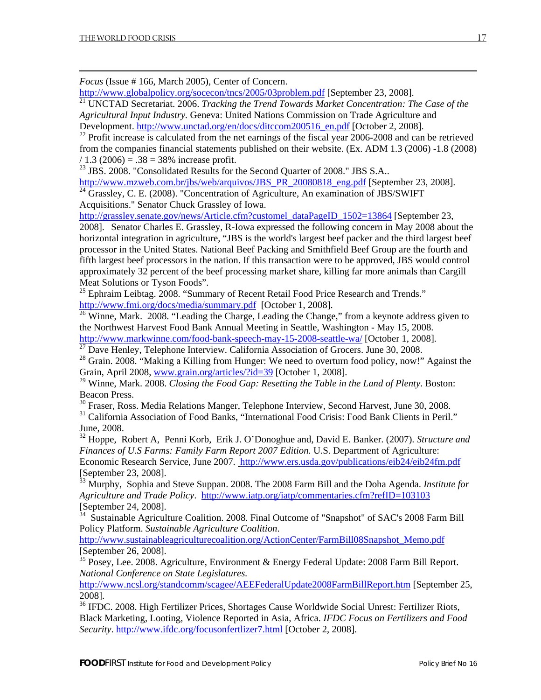<span id="page-19-0"></span>1

*Focus* (Issue # 166, March 2005), Center of Concern.

<http://www.globalpolicy.org/socecon/tncs/2005/03problem.pdf>[September 23, 2008].

21 UNCTAD Secretariat. 2006. *Tracking the Trend Towards Market Concentration: The Case of the Agricultural Input Industry.* Geneva: United Nations Commission on Trade Agriculture and Development. [http://www.unctad.org/en/docs/ditccom200516\\_en.pdf](http://www.unctad.org/en/docs/ditccom200516_en.pdf) [October 2, 2008].

<sup>22</sup> Profit increase is calculated from the net earnings of the fiscal year 2006-2008 and can be retrieved from the companies financial statements published on their website. (Ex. ADM 1.3 (2006) -1.8 (2008)  $/ 1.3 (2006) = .38 = 38\%$  increase profit.

<sup>23</sup> JBS. 2008. "Consolidated Results for the Second Quarter of 2008." JBS S.A..

[http://www.mzweb.com.br/jbs/web/arquivos/JBS\\_PR\\_20080818\\_eng.pdf](http://www.mzweb.com.br/jbs/web/arquivos/JBS_PR_20080818_eng.pdf) [September 23, 2008].

 $^{24}$  Grassley, C. E. (2008). "Concentration of Agriculture, An examination of JBS/SWIFT Acquisitions." Senator Chuck Grassley of Iowa.

[http://grassley.senate.gov/news/Article.cfm?customel\\_dataPageID\\_1502=13864](http://grassley.senate.gov/news/Article.cfm?customel_dataPageID_1502=13864) [September 23, 2008]. Senator Charles E. Grassley, R-Iowa expressed the following concern in May 2008 about the horizontal integration in agriculture, "JBS is the world's largest beef packer and the third largest beef processor in the United States. National Beef Packing and Smithfield Beef Group are the fourth and fifth largest beef processors in the nation. If this transaction were to be approved, JBS would control approximately 32 percent of the beef processing market share, killing far more animals than Cargill Meat Solutions or Tyson Foods".

 $^{25}$  Ephraim Leibtag. 2008. "Summary of Recent Retail Food Price Research and Trends." <http://www.fmi.org/docs/media/summary.pdf> [October 1, 2008].

 $\frac{26}{26}$  Winne, Mark. 2008. "Leading the Charge, Leading the Change," from a keynote address given to the Northwest Harvest Food Bank Annual Meeting in Seattle, Washington - May 15, 2008. <http://www.markwinne.com/food-bank-speech-may-15-2008-seattle-wa/> [October 1, 2008].

 $\frac{27}{27}$  Dave Henley, Telephone Interview. California Association of Grocers. June 30, 2008.

<sup>28</sup> Grain. 2008. "Making a Killing from Hunger: We need to overturn food policy, now!" Against the Grain, April 2008, [www.grain.org/articles/?id=39](http://www.grain.org/articles/?id=39) [October 1, 2008].

29 Winne, Mark. 2008. *Closing the Food Gap: Resetting the Table in the Land of Plenty*. Boston: Beacon Press.

<sup>30</sup> Fraser, Ross. Media Relations Manger, Telephone Interview, Second Harvest, June 30, 2008.

<sup>31</sup> California Association of Food Banks, "International Food Crisis: Food Bank Clients in Peril." June, 2008.

32 Hoppe, Robert A, Penni Korb, Erik J. O'Donoghue and, David E. Banker. (2007). *Structure and Finances of U.S Farms: Family Farm Report 2007 Edition.* U.S. Department of Agriculture: Economic Research Service, June 2007. <http://www.ers.usda.gov/publications/eib24/eib24fm.pdf> [September 23, 2008].

33 Murphy, Sophia and Steve Suppan. 2008. The 2008 Farm Bill and the Doha Agenda. *Institute for Agriculture and Trade Policy*. <http://www.iatp.org/iatp/commentaries.cfm?refID=103103> [September 24, 2008].

Sustainable Agriculture Coalition. 2008. Final Outcome of "Snapshot" of SAC's 2008 Farm Bill Policy Platform. *Sustainable Agriculture Coalition*.

[http://www.sustainableagriculturecoalition.org/ActionCenter/FarmBill08Snapshot\\_Memo.pdf](http://www.sustainableagriculturecoalition.org/ActionCenter/FarmBill08Snapshot_Memo.pdf) [September 26, 2008].

 $35$  Posey, Lee. 2008. Agriculture, Environment & Energy Federal Update: 2008 Farm Bill Report. *National Conference on State Legislatures.*

<http://www.ncsl.org/standcomm/scagee/AEEFederalUpdate2008FarmBillReport.htm>[September 25, 2008].

<sup>36</sup> IFDC. 2008. High Fertilizer Prices, Shortages Cause Worldwide Social Unrest: Fertilizer Riots, Black Marketing, Looting, Violence Reported in Asia, Africa. *IFDC Focus on Fertilizers and Food Security*. <http://www.ifdc.org/focusonfertlizer7.html>[October 2, 2008].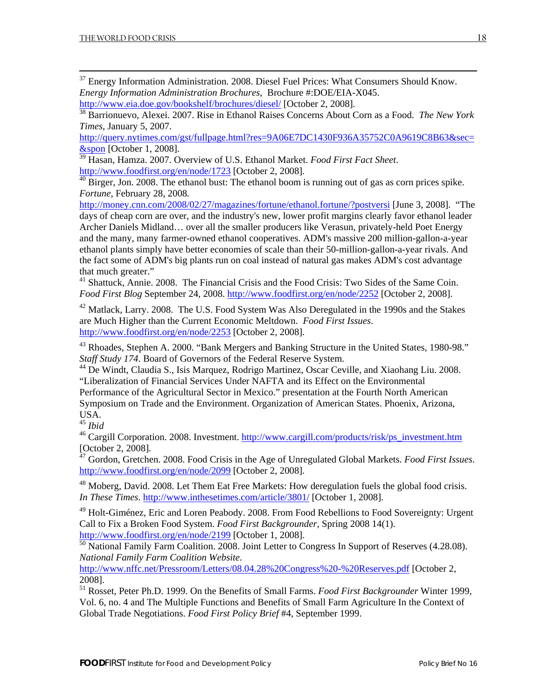<span id="page-20-0"></span><sup>37</sup> Energy Information Administration. 2008. Diesel Fuel Prices: What Consumers Should Know. *Energy Information Administration Brochures*, Brochure #:DOE/EIA-X045.

<http://www.eia.doe.gov/bookshelf/brochures/diesel/> [October 2, 2008].

38 Barrionuevo, Alexei. 2007. Rise in Ethanol Raises Concerns About Corn as a Food. *The New York Times*, January 5, 2007.

[http://query.nytimes.com/gst/fullpage.html?res=9A06E7DC1430F936A35752C0A9619C8B63&sec=](http://query.nytimes.com/gst/fullpage.html?res=9A06E7DC1430F936A35752C0A9619C8B63&sec=&spon) [&spon](http://query.nytimes.com/gst/fullpage.html?res=9A06E7DC1430F936A35752C0A9619C8B63&sec=&spon) [October 1, 2008].

39 Hasan, Hamza. 2007. Overview of U.S. Ethanol Market. *Food First Fact Sheet*. <http://www.foodfirst.org/en/node/1723> [October 2, 2008].

 $\frac{40 \text{ Birger, Jon. } 2008$ . The ethanol bust: The ethanol boom is running out of gas as corn prices spike. *Fortune,* February 28, 2008*.* 

<http://money.cnn.com/2008/02/27/magazines/fortune/ethanol.fortune/?postversi>[June 3, 2008]. "The days of cheap corn are over, and the industry's new, lower profit margins clearly favor ethanol leader Archer Daniels Midland… over all the smaller producers like Verasun, privately-held Poet Energy and the many, many farmer-owned ethanol cooperatives. ADM's massive 200 million-gallon-a-year ethanol plants simply have better economies of scale than their 50-million-gallon-a-year rivals. And the fact some of ADM's big plants run on coal instead of natural gas makes ADM's cost advantage that much greater."

<sup>41</sup> Shattuck, Annie. 2008. The Financial Crisis and the Food Crisis: Two Sides of the Same Coin. *Food First Blog* September 24, 2008.<http://www.foodfirst.org/en/node/2252>[October 2, 2008].

 $42$  Matlack, Larry. 2008. The U.S. Food System Was Also Deregulated in the 1990s and the Stakes are Much Higher than the Current Economic Meltdown. *Food First Issues*. <http://www.foodfirst.org/en/node/2253> [October 2, 2008].

43 Rhoades, Stephen A. 2000. "Bank Mergers and Banking Structure in the United States, 1980-98." *Staff Study 174*. Board of Governors of the Federal Reserve System.

<sup>44</sup> De Windt, Claudia S., Isis Marquez, Rodrigo Martinez, Oscar Ceville, and Xiaohang Liu. 2008. "Liberalization of Financial Services Under NAFTA and its Effect on the Environmental Performance of the Agricultural Sector in Mexico." presentation at the Fourth North American Symposium on Trade and the Environment. Organization of American States. Phoenix, Arizona, USA.

<sup>45</sup> *Ibid*

<sup>46</sup> Cargill Corporation. 2008. Investment. [http://www.cargill.com/products/risk/ps\\_investment.htm](http://www.cargill.com/products/risk/ps_investment.htm) [October 2, 2008].

47 Gordon, Gretchen. 2008. Food Crisis in the Age of Unregulated Global Markets. *Food First Issues*. <http://www.foodfirst.org/en/node/2099> [October 2, 2008].

 $48$  Moberg, David. 2008. Let Them Eat Free Markets: How deregulation fuels the global food crisis. *In These Times*.<http://www.inthesetimes.com/article/3801/> [October 1, 2008].

 $49$  Holt-Giménez, Eric and Loren Peabody. 2008. From Food Rebellions to Food Sovereignty: Urgent Call to Fix a Broken Food System. *Food First Backgrounder,* Spring 2008 14(1). <http://www.foodfirst.org/en/node/2199> [October 1, 2008].

 $\frac{50}{20}$  National Family Farm Coalition. 2008. Joint Letter to Congress In Support of Reserves (4.28.08). *National Family Farm Coalition Website*.

<http://www.nffc.net/Pressroom/Letters/08.04.28%20Congress%20-%20Reserves.pdf>[October 2, 2008].

51 Rosset, Peter Ph.D. 1999. On the Benefits of Small Farms. *Food First Backgrounder* Winter 1999, Vol. 6, no. 4 and The Multiple Functions and Benefits of Small Farm Agriculture In the Context of Global Trade Negotiations. *Food First Policy Brief* #4, September 1999.